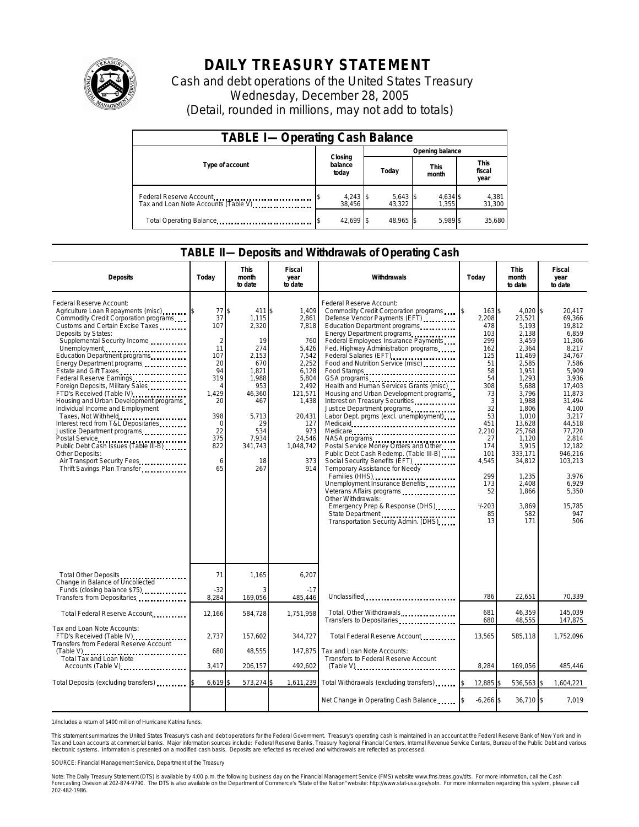

## **DAILY TREASURY STATEMENT**

Cash and debt operations of the United States Treasury Wednesday, December 28, 2005 (Detail, rounded in millions, may not add to totals)

| <b>TABLE I-Operating Cash Balance</b>                           |                             |                      |                      |                               |  |  |  |
|-----------------------------------------------------------------|-----------------------------|----------------------|----------------------|-------------------------------|--|--|--|
|                                                                 |                             | Opening balance      |                      |                               |  |  |  |
| Type of account                                                 | Closing<br>balance<br>today | Today                | <b>This</b><br>month | <b>This</b><br>fiscal<br>year |  |  |  |
| Federal Reserve Account<br>Tax and Loan Note Accounts (Table V) | $4,243$ \$<br>38.456        | $5,643$ \$<br>43.322 | 4,634 \$<br>1.355    | 4,381<br>31,300               |  |  |  |
| Total Operating Balance                                         | 42.699 \$                   | 48.965 \$            | 5.989 \$             | 35.680                        |  |  |  |

## **TABLE II—Deposits and Withdrawals of Operating Cash**

| <b>Deposits</b>                                                                                                                                                                                                                                                                                                                                                                                                                                                                                                                                                                                                                                                                                                                                      | Todav                                                                                                                                      | <b>This</b><br>month<br>to date                                                                                                                              | Fiscal<br>year<br>to date                                                                                                                                             | Withdrawals                                                                                                                                                                                                                                                                                                                                                                                                                                                                                                                                                                                                                                                                                                                                                                                                                                                                            | Today                                                                                                                                                                                                           | <b>This</b><br>month<br>to date                                                                                                                                                                                                                       | Fiscal<br>year<br>to date                                                                                                                                                                                                                                   |
|------------------------------------------------------------------------------------------------------------------------------------------------------------------------------------------------------------------------------------------------------------------------------------------------------------------------------------------------------------------------------------------------------------------------------------------------------------------------------------------------------------------------------------------------------------------------------------------------------------------------------------------------------------------------------------------------------------------------------------------------------|--------------------------------------------------------------------------------------------------------------------------------------------|--------------------------------------------------------------------------------------------------------------------------------------------------------------|-----------------------------------------------------------------------------------------------------------------------------------------------------------------------|----------------------------------------------------------------------------------------------------------------------------------------------------------------------------------------------------------------------------------------------------------------------------------------------------------------------------------------------------------------------------------------------------------------------------------------------------------------------------------------------------------------------------------------------------------------------------------------------------------------------------------------------------------------------------------------------------------------------------------------------------------------------------------------------------------------------------------------------------------------------------------------|-----------------------------------------------------------------------------------------------------------------------------------------------------------------------------------------------------------------|-------------------------------------------------------------------------------------------------------------------------------------------------------------------------------------------------------------------------------------------------------|-------------------------------------------------------------------------------------------------------------------------------------------------------------------------------------------------------------------------------------------------------------|
| Federal Reserve Account:<br>Agriculture Loan Repayments (misc)<br>Commodity Credit Corporation programs<br>Customs and Certain Excise Taxes<br>Deposits by States:<br>Supplemental Security Income<br>Unemployment<br>Education Department programs<br>Energy Department programs<br>Estate and Gift Taxes<br><b>Example 20</b><br>Federal Reserve Earnings<br>Foreign Deposits, Military Sales<br>FTD's Received (Table IV)<br>Housing and Urban Development programs<br>Individual Income and Employment<br>Taxes, Not Withheld<br>Interest recd from T&L Depositaries<br>Justice Department programs<br>Postal Service<br>Public Debt Cash Issues (Table III-B)<br>Other Deposits:<br>Air Transport Security Fees<br>Thrift Savings Plan Transfer | 77<br>37<br>107<br>$\overline{2}$<br>11<br>107<br>20<br>94<br>319<br>4<br>1.429<br>20<br>398<br>$\mathbf 0$<br>22<br>375<br>822<br>6<br>65 | \$<br>411 \$<br>1.115<br>2,320<br>19<br>274<br>2.153<br>670<br>1.821<br>1.988<br>953<br>46,360<br>467<br>5,713<br>29<br>534<br>7.934<br>341,743<br>18<br>267 | 1.409<br>2,861<br>7.818<br>760<br>5,426<br>7,542<br>2,252<br>6,128<br>5,804<br>2,492<br>121,571<br>1.438<br>20,431<br>127<br>973<br>24.546<br>1,048,742<br>373<br>914 | Federal Reserve Account:<br>Commodity Credit Corporation programs<br>Defense Vendor Payments (EFT)<br>Education Department programs<br>Energy Department programs<br>Federal Employees Insurance Payments<br>Fed. Highway Administration programs<br>Federal Salaries (EFT)<br>Food and Nutrition Service (misc)<br>Food Stamps<br>Health and Human Services Grants (misc)<br>Housing and Urban Development programs<br>Interest on Treasury Securities<br>Justice Department programs<br>Labor Dept. prgms (excl. unemployment)<br>Medicare<br>Postal Service Money Orders and Other<br>Public Debt Cash Redemp. (Table III-B)<br>Social Security Benefits (EFT)<br>Temporary Assistance for Needy<br>Families (HHS)<br>Unemployment Insurance Benefits<br>Veterans Affairs programs<br>Other Withdrawals:<br>Emergency Prep & Response (DHS)<br>Transportation Security Admin. (DHS) | $\mathfrak{S}$<br>163 \$<br>2.208<br>478<br>103<br>299<br>162<br>125<br>51<br>58<br>54<br>308<br>73<br>3<br>32<br>53<br>451<br>2,210<br>27<br>174<br>101<br>4,545<br>299<br>173<br>52<br>$1/ - 203$<br>85<br>13 | 4.020 \$<br>23.521<br>5,193<br>2.138<br>3,459<br>2,364<br>11.469<br>2,585<br>1.951<br>1,293<br>5,688<br>3.796<br>1.988<br>1,806<br>1,010<br>13.628<br>25.768<br>1,120<br>3,915<br>333,171<br>34,812<br>1,235<br>2.408<br>1,866<br>3.869<br>582<br>171 | 20.417<br>69.366<br>19.812<br>6.859<br>11,306<br>8,217<br>34.767<br>7.586<br>5.909<br>3,936<br>17.403<br>11.873<br>31.494<br>4,100<br>3,217<br>44.518<br>77.720<br>2.814<br>12.182<br>946.216<br>103,213<br>3,976<br>6.929<br>5,350<br>15.785<br>947<br>506 |
| Total Other Deposits                                                                                                                                                                                                                                                                                                                                                                                                                                                                                                                                                                                                                                                                                                                                 | 71                                                                                                                                         | 1,165                                                                                                                                                        | 6,207                                                                                                                                                                 |                                                                                                                                                                                                                                                                                                                                                                                                                                                                                                                                                                                                                                                                                                                                                                                                                                                                                        |                                                                                                                                                                                                                 |                                                                                                                                                                                                                                                       |                                                                                                                                                                                                                                                             |
| Change in Balance of Uncollected<br>Funds (closing balance \$75)<br>Transfers from Depositaries                                                                                                                                                                                                                                                                                                                                                                                                                                                                                                                                                                                                                                                      | $-32$<br>8,284                                                                                                                             | 169,056                                                                                                                                                      | $-17$<br>485,446                                                                                                                                                      | Unclassified                                                                                                                                                                                                                                                                                                                                                                                                                                                                                                                                                                                                                                                                                                                                                                                                                                                                           | 786                                                                                                                                                                                                             | 22,651                                                                                                                                                                                                                                                | 70,339                                                                                                                                                                                                                                                      |
| Total Federal Reserve Account                                                                                                                                                                                                                                                                                                                                                                                                                                                                                                                                                                                                                                                                                                                        | 12,166                                                                                                                                     | 584,728                                                                                                                                                      | 1.751.958                                                                                                                                                             | Total, Other Withdrawals<br>Transfers to Depositaries                                                                                                                                                                                                                                                                                                                                                                                                                                                                                                                                                                                                                                                                                                                                                                                                                                  | 681<br>680                                                                                                                                                                                                      | 46,359<br>48,555                                                                                                                                                                                                                                      | 145.039<br>147,875                                                                                                                                                                                                                                          |
| Tax and Loan Note Accounts:<br>FTD's Received (Table IV)<br>Transfers from Federal Reserve Account<br>$(Table V)$<br>Total Tax and Loan Note                                                                                                                                                                                                                                                                                                                                                                                                                                                                                                                                                                                                         | 2,737<br>680<br>3,417                                                                                                                      | 157,602<br>48.555<br>206,157                                                                                                                                 | 344,727<br>147.875<br>492,602                                                                                                                                         | Total Federal Reserve Account<br>Tax and Loan Note Accounts:<br>Transfers to Federal Reserve Account                                                                                                                                                                                                                                                                                                                                                                                                                                                                                                                                                                                                                                                                                                                                                                                   | 13,565<br>8,284                                                                                                                                                                                                 | 585,118<br>169,056                                                                                                                                                                                                                                    | 1,752,096<br>485,446                                                                                                                                                                                                                                        |
| Accounts (Table V)<br>Total Deposits (excluding transfers)                                                                                                                                                                                                                                                                                                                                                                                                                                                                                                                                                                                                                                                                                           | 6,619                                                                                                                                      | 573,274 \$                                                                                                                                                   | 1,611,239                                                                                                                                                             | Total Withdrawals (excluding transfers)                                                                                                                                                                                                                                                                                                                                                                                                                                                                                                                                                                                                                                                                                                                                                                                                                                                | <b>S</b><br>12,885 \$                                                                                                                                                                                           | 536,563 \$                                                                                                                                                                                                                                            | 1,604,221                                                                                                                                                                                                                                                   |
|                                                                                                                                                                                                                                                                                                                                                                                                                                                                                                                                                                                                                                                                                                                                                      |                                                                                                                                            |                                                                                                                                                              |                                                                                                                                                                       | Net Change in Operating Cash Balance                                                                                                                                                                                                                                                                                                                                                                                                                                                                                                                                                                                                                                                                                                                                                                                                                                                   | $-6,266$ \$                                                                                                                                                                                                     | $36,710$ \$                                                                                                                                                                                                                                           | 7.019                                                                                                                                                                                                                                                       |

1/Includes a return of \$400 million of Hurricane Katrina funds.

This statement summarizes the United States Treasury's cash and debt operations for the Federal Government. Treasury's operating cash is maintained in an account at the Federal Reserve Bank of New York and in<br>Tax and Loan narizes the United States Treasury's cash and debt operations for the Federal Government. Treasury's operating cash is maintained in an account at the Federal Reserve Bank of New York and in<br>ints at commercial banks. Major

SOURCE: Financial Management Service, Department of the Treasury

Note: The Daily Treasury Statement (DTS) is available by 4:00 p.m. the following business day on the Financial Management Service (FMS) website www.fms.treas.gov/dts. For more information, call the Cash<br>Forecasting Divisio 202-482-1986.